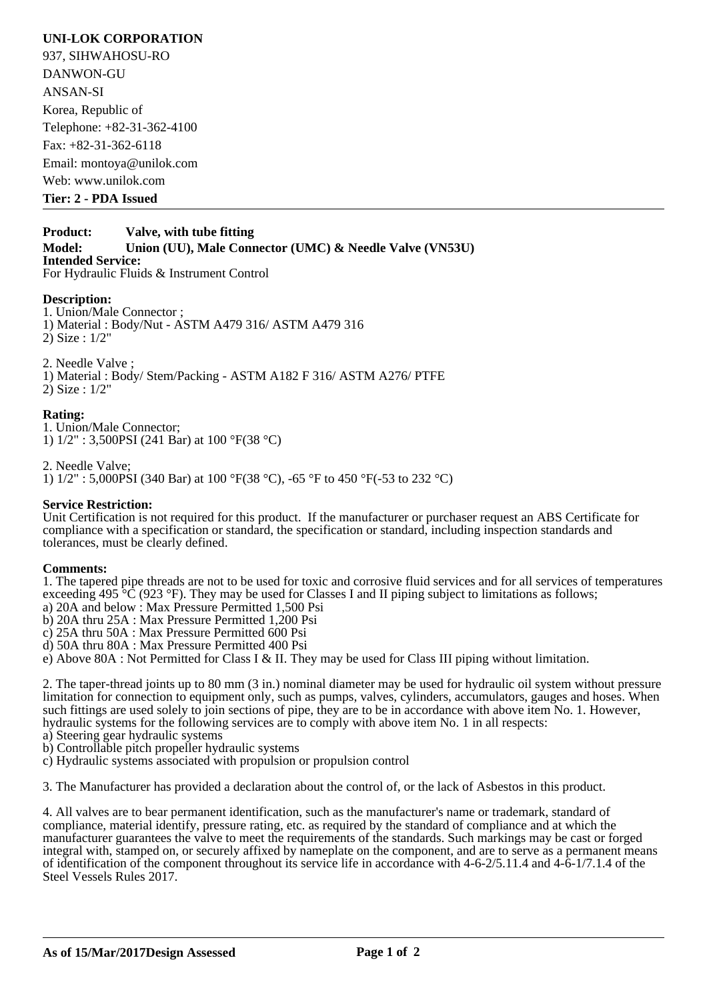# **UNI-LOK CORPORATION**

937, SIHWAHOSU-RO DANWON-GU ANSAN-SI Korea, Republic of Telephone: +82-31-362-4100 Fax: +82-31-362-6118 Email: montoya@unilok.com Web: www.unilok.com

**Tier: 2 - PDA Issued** 

#### **Product: Valve, with tube fitting Model: Union (UU), Male Connector (UMC) & Needle Valve (VN53U) Intended Service:** For Hydraulic Fluids & Instrument Control

## **Description:**

1. Union/Male Connector ; 1) Material : Body/Nut - ASTM A479 316/ ASTM A479 316 2) Size : 1/2"

2. Needle Valve ; 1) Material : Body/ Stem/Packing - ASTM A182 F 316/ ASTM A276/ PTFE 2) Size : 1/2"

#### **Rating:**

1. Union/Male Connector; 1) 1/2" : 3,500PSI (241 Bar) at 100 °F(38 °C)

2. Needle Valve; 1) 1/2" : 5,000PSI (340 Bar) at 100 °F(38 °C), -65 °F to 450 °F(-53 to 232 °C)

#### **Service Restriction:**

Unit Certification is not required for this product. If the manufacturer or purchaser request an ABS Certificate for compliance with a specification or standard, the specification or standard, including inspection standards and tolerances, must be clearly defined.

#### **Comments:**

1. The tapered pipe threads are not to be used for toxic and corrosive fluid services and for all services of temperatures exceeding 495  $^{\circ}$ C (923  $^{\circ}$ F). They may be used for Classes I and II piping subject to limitations as follows;

a) 20A and below : Max Pressure Permitted 1,500 Psi

b) 20A thru 25A : Max Pressure Permitted 1,200 Psi

c) 25A thru 50A : Max Pressure Permitted 600 Psi

d) 50A thru 80A : Max Pressure Permitted 400 Psi

e) Above 80A : Not Permitted for Class I & II. They may be used for Class III piping without limitation.

2. The taper-thread joints up to 80 mm (3 in.) nominal diameter may be used for hydraulic oil system without pressure limitation for connection to equipment only, such as pumps, valves, cylinders, accumulators, gauges and hoses. When such fittings are used solely to join sections of pipe, they are to be in accordance with above item No. 1. However, hydraulic systems for the following services are to comply with above item No. 1 in all respects:

a) Steering gear hydraulic systems

b) Controllable pitch propeller hydraulic systems

c) Hydraulic systems associated with propulsion or propulsion control

3. The Manufacturer has provided a declaration about the control of, or the lack of Asbestos in this product.

4. All valves are to bear permanent identification, such as the manufacturer's name or trademark, standard of compliance, material identify, pressure rating, etc. as required by the standard of compliance and at which the manufacturer guarantees the valve to meet the requirements of the standards. Such markings may be cast or forged integral with, stamped on, or securely affixed by nameplate on the component, and are to serve as a permanent means of identification of the component throughout its service life in accordance with 4-6-2/5.11.4 and 4-6-1/7.1.4 of the Steel Vessels Rules 2017.